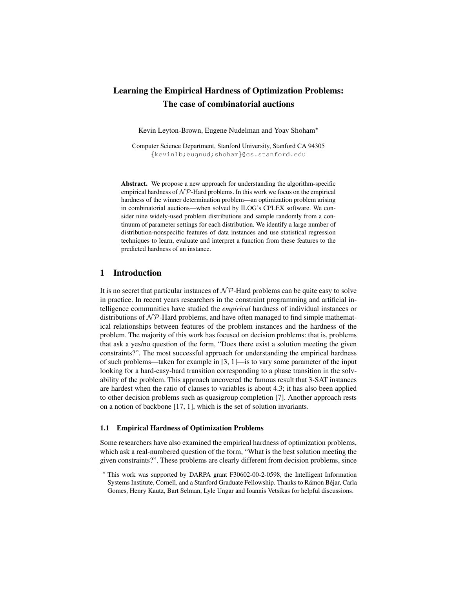# **Learning the Empirical Hardness of Optimization Problems: The case of combinatorial auctions**

Kevin Leyton-Brown, Eugene Nudelman and Yoav Shoham?

Computer Science Department, Stanford University, Stanford CA 94305 {kevinlb;eugnud;shoham}@cs.stanford.edu

**Abstract.** We propose a new approach for understanding the algorithm-specific empirical hardness of  $N\mathcal{P}$ -Hard problems. In this work we focus on the empirical hardness of the winner determination problem—an optimization problem arising in combinatorial auctions—when solved by ILOG's CPLEX software. We consider nine widely-used problem distributions and sample randomly from a continuum of parameter settings for each distribution. We identify a large number of distribution-nonspecific features of data instances and use statistical regression techniques to learn, evaluate and interpret a function from these features to the predicted hardness of an instance.

## **1 Introduction**

It is no secret that particular instances of  $N\mathcal{P}$ -Hard problems can be quite easy to solve in practice. In recent years researchers in the constraint programming and artificial intelligence communities have studied the *empirical* hardness of individual instances or distributions of  $N\mathcal{P}$ -Hard problems, and have often managed to find simple mathematical relationships between features of the problem instances and the hardness of the problem. The majority of this work has focused on decision problems: that is, problems that ask a yes/no question of the form, "Does there exist a solution meeting the given constraints?". The most successful approach for understanding the empirical hardness of such problems—taken for example in [3, 1]—is to vary some parameter of the input looking for a hard-easy-hard transition corresponding to a phase transition in the solvability of the problem. This approach uncovered the famous result that 3-SAT instances are hardest when the ratio of clauses to variables is about 4.3; it has also been applied to other decision problems such as quasigroup completion [7]. Another approach rests on a notion of backbone [17, 1], which is the set of solution invariants.

### **1.1 Empirical Hardness of Optimization Problems**

Some researchers have also examined the empirical hardness of optimization problems, which ask a real-numbered question of the form, "What is the best solution meeting the given constraints?". These problems are clearly different from decision problems, since

<sup>?</sup> This work was supported by DARPA grant F30602-00-2-0598, the Intelligent Information Systems Institute, Cornell, and a Stanford Graduate Fellowship. Thanks to Rámon Béjar, Carla Gomes, Henry Kautz, Bart Selman, Lyle Ungar and Ioannis Vetsikas for helpful discussions.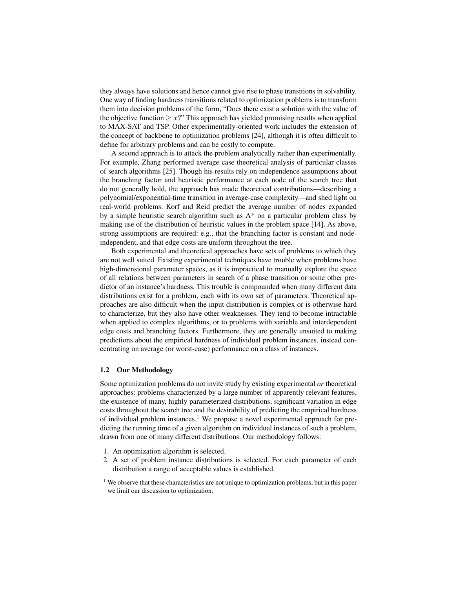they always have solutions and hence cannot give rise to phase transitions in solvability. One way of finding hardness transitions related to optimization problems is to transform them into decision problems of the form, "Does there exist a solution with the value of the objective function  $\geq x$ ?" This approach has yielded promising results when applied to MAX-SAT and TSP. Other experimentally-oriented work includes the extension of the concept of backbone to optimization problems [24], although it is often difficult to define for arbitrary problems and can be costly to compute.

A second approach is to attack the problem analytically rather than experimentally. For example, Zhang performed average case theoretical analysis of particular classes of search algorithms [25]. Though his results rely on independence assumptions about the branching factor and heuristic performance at each node of the search tree that do not generally hold, the approach has made theoretical contributions—describing a polynomial/exponential-time transition in average-case complexity—and shed light on real-world problems. Korf and Reid predict the average number of nodes expanded by a simple heuristic search algorithm such as  $A^*$  on a particular problem class by making use of the distribution of heuristic values in the problem space [14]. As above, strong assumptions are required: e.g., that the branching factor is constant and nodeindependent, and that edge costs are uniform throughout the tree.

Both experimental and theoretical approaches have sets of problems to which they are not well suited. Existing experimental techniques have trouble when problems have high-dimensional parameter spaces, as it is impractical to manually explore the space of all relations between parameters in search of a phase transition or some other predictor of an instance's hardness. This trouble is compounded when many different data distributions exist for a problem, each with its own set of parameters. Theoretical approaches are also difficult when the input distribution is complex or is otherwise hard to characterize, but they also have other weaknesses. They tend to become intractable when applied to complex algorithms, or to problems with variable and interdependent edge costs and branching factors. Furthermore, they are generally unsuited to making predictions about the empirical hardness of individual problem instances, instead concentrating on average (or worst-case) performance on a class of instances.

## **1.2 Our Methodology**

Some optimization problems do not invite study by existing experimental *or* theoretical approaches: problems characterized by a large number of apparently relevant features, the existence of many, highly parameterized distributions, significant variation in edge costs throughout the search tree and the desirability of predicting the empirical hardness of individual problem instances.<sup>1</sup> We propose a novel experimental approach for predicting the running time of a given algorithm on individual instances of such a problem, drawn from one of many different distributions. Our methodology follows:

- 1. An optimization algorithm is selected.
- 2. A set of problem instance distributions is selected. For each parameter of each distribution a range of acceptable values is established.

 $1$  We observe that these characteristics are not unique to optimization problems, but in this paper we limit our discussion to optimization.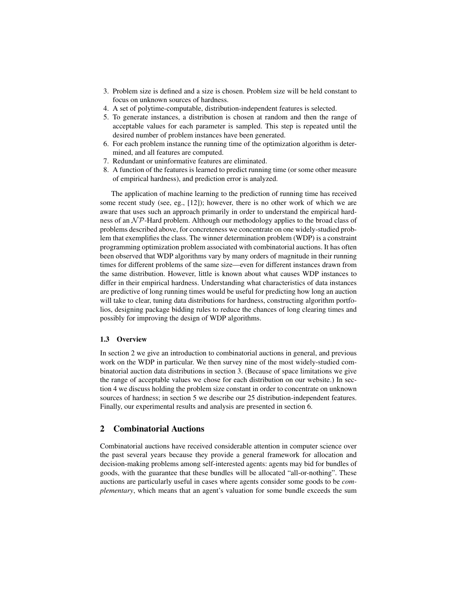- 3. Problem size is defined and a size is chosen. Problem size will be held constant to focus on unknown sources of hardness.
- 4. A set of polytime-computable, distribution-independent features is selected.
- 5. To generate instances, a distribution is chosen at random and then the range of acceptable values for each parameter is sampled. This step is repeated until the desired number of problem instances have been generated.
- 6. For each problem instance the running time of the optimization algorithm is determined, and all features are computed.
- 7. Redundant or uninformative features are eliminated.
- 8. A function of the features is learned to predict running time (or some other measure of empirical hardness), and prediction error is analyzed.

The application of machine learning to the prediction of running time has received some recent study (see, eg., [12]); however, there is no other work of which we are aware that uses such an approach primarily in order to understand the empirical hardness of an  $N \mathcal{P}$ -Hard problem. Although our methodology applies to the broad class of problems described above, for concreteness we concentrate on one widely-studied problem that exemplifies the class. The winner determination problem (WDP) is a constraint programming optimization problem associated with combinatorial auctions. It has often been observed that WDP algorithms vary by many orders of magnitude in their running times for different problems of the same size—even for different instances drawn from the same distribution. However, little is known about what causes WDP instances to differ in their empirical hardness. Understanding what characteristics of data instances are predictive of long running times would be useful for predicting how long an auction will take to clear, tuning data distributions for hardness, constructing algorithm portfolios, designing package bidding rules to reduce the chances of long clearing times and possibly for improving the design of WDP algorithms.

### **1.3 Overview**

In section 2 we give an introduction to combinatorial auctions in general, and previous work on the WDP in particular. We then survey nine of the most widely-studied combinatorial auction data distributions in section 3. (Because of space limitations we give the range of acceptable values we chose for each distribution on our website.) In section 4 we discuss holding the problem size constant in order to concentrate on unknown sources of hardness; in section 5 we describe our 25 distribution-independent features. Finally, our experimental results and analysis are presented in section 6.

## **2 Combinatorial Auctions**

Combinatorial auctions have received considerable attention in computer science over the past several years because they provide a general framework for allocation and decision-making problems among self-interested agents: agents may bid for bundles of goods, with the guarantee that these bundles will be allocated "all-or-nothing". These auctions are particularly useful in cases where agents consider some goods to be *complementary*, which means that an agent's valuation for some bundle exceeds the sum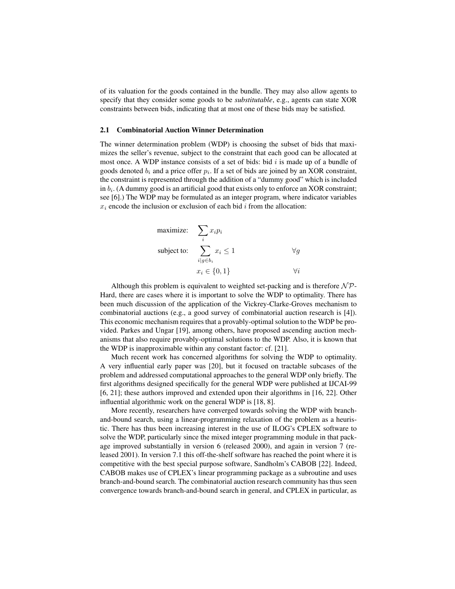of its valuation for the goods contained in the bundle. They may also allow agents to specify that they consider some goods to be *substitutable*, e.g., agents can state XOR constraints between bids, indicating that at most one of these bids may be satisfied.

### **2.1 Combinatorial Auction Winner Determination**

The winner determination problem (WDP) is choosing the subset of bids that maximizes the seller's revenue, subject to the constraint that each good can be allocated at most once. A WDP instance consists of a set of bids: bid  $i$  is made up of a bundle of goods denoted  $b_i$  and a price offer  $p_i$ . If a set of bids are joined by an XOR constraint, the constraint is represented through the addition of a "dummy good" which is included in  $b_i$ . (A dummy good is an artificial good that exists only to enforce an XOR constraint; see [6].) The WDP may be formulated as an integer program, where indicator variables  $x_i$  encode the inclusion or exclusion of each bid i from the allocation:

maximize: 
$$
\sum_{i} x_i p_i
$$
  
\nsubject to: 
$$
\sum_{i | g \in b_i} x_i \le 1 \qquad \forall g
$$
  
\n
$$
x_i \in \{0, 1\} \qquad \forall i
$$

Although this problem is equivalent to weighted set-packing and is therefore  $\mathcal{NP}$ -Hard, there are cases where it is important to solve the WDP to optimality. There has been much discussion of the application of the Vickrey-Clarke-Groves mechanism to combinatorial auctions (e.g., a good survey of combinatorial auction research is [4]). This economic mechanism requires that a provably-optimal solution to the WDP be provided. Parkes and Ungar [19], among others, have proposed ascending auction mechanisms that also require provably-optimal solutions to the WDP. Also, it is known that the WDP is inapproximable within any constant factor: cf. [21].

Much recent work has concerned algorithms for solving the WDP to optimality. A very influential early paper was [20], but it focused on tractable subcases of the problem and addressed computational approaches to the general WDP only briefly. The first algorithms designed specifically for the general WDP were published at IJCAI-99 [6, 21]; these authors improved and extended upon their algorithms in [16, 22]. Other influential algorithmic work on the general WDP is [18, 8].

More recently, researchers have converged towards solving the WDP with branchand-bound search, using a linear-programming relaxation of the problem as a heuristic. There has thus been increasing interest in the use of ILOG's CPLEX software to solve the WDP, particularly since the mixed integer programming module in that package improved substantially in version 6 (released 2000), and again in version 7 (released 2001). In version 7.1 this off-the-shelf software has reached the point where it is competitive with the best special purpose software, Sandholm's CABOB [22]. Indeed, CABOB makes use of CPLEX's linear programming package as a subroutine and uses branch-and-bound search. The combinatorial auction research community has thus seen convergence towards branch-and-bound search in general, and CPLEX in particular, as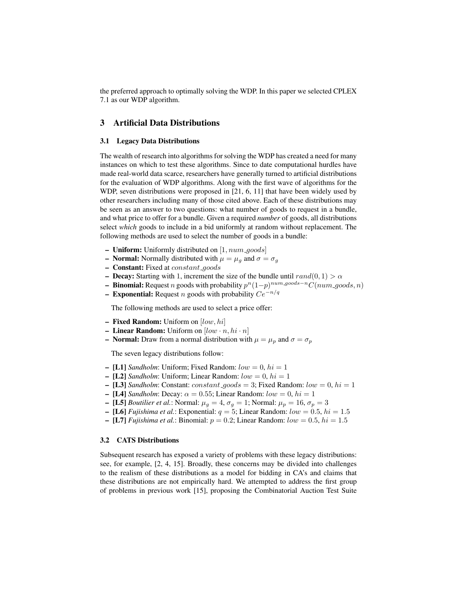the preferred approach to optimally solving the WDP. In this paper we selected CPLEX 7.1 as our WDP algorithm.

## **3 Artificial Data Distributions**

## **3.1 Legacy Data Distributions**

The wealth of research into algorithms for solving the WDP has created a need for many instances on which to test these algorithms. Since to date computational hurdles have made real-world data scarce, researchers have generally turned to artificial distributions for the evaluation of WDP algorithms. Along with the first wave of algorithms for the WDP, seven distributions were proposed in [21, 6, 11] that have been widely used by other researchers including many of those cited above. Each of these distributions may be seen as an answer to two questions: what number of goods to request in a bundle, and what price to offer for a bundle. Given a required *number* of goods, all distributions select *which* goods to include in a bid uniformly at random without replacement. The following methods are used to select the number of goods in a bundle:

- **– Uniform:** Uniformly distributed on [1, num goods]
- **– Normal:** Normally distributed with  $\mu = \mu_q$  and  $\sigma = \sigma_q$
- **– Constant:** Fixed at constant goods
- **– Decay:** Starting with 1, increment the size of the bundle until  $rand(0, 1) > \alpha$
- **Binomial:** Request *n* goods with probability  $p^n(1-p)^{num\cdot goods-n}C(num\cdot goods, n)$
- **– Exponential:** Request n goods with probability Ce −n/q

The following methods are used to select a price offer:

- **– Fixed Random:** Uniform on [low, hi]
- **Linear Random:** Uniform on  $[low \cdot n, hi \cdot n]$
- **Normal:** Draw from a normal distribution with  $\mu = \mu_p$  and  $\sigma = \sigma_p$

The seven legacy distributions follow:

- $-$  **[L1]** *Sandholm*: Uniform; Fixed Random:  $low = 0, hi = 1$
- **–** [L2] *Sandholm*: Uniform; Linear Random:  $low = 0, hi = 1$
- $-$  **[L3]** *Sandholm*: Constant: *constant\_goods* = 3; Fixed Random: *low* = 0,  $hi = 1$
- **– [L4]** *Sandholm*: Decay:  $\alpha = 0.55$ ; Linear Random:  $low = 0, hi = 1$
- **–** [L5] *Boutilier et al.*: Normal:  $\mu_q = 4$ ,  $\sigma_q = 1$ ; Normal:  $\mu_p = 16$ ,  $\sigma_p = 3$
- **– [L6]** *Fujishima et al.*: Exponential: q = 5; Linear Random: low = 0.5, hi = 1.5
- **– [L7]** *Fujishima et al.*: Binomial: p = 0.2; Linear Random: low = 0.5, hi = 1.5

### **3.2 CATS Distributions**

Subsequent research has exposed a variety of problems with these legacy distributions: see, for example, [2, 4, 15]. Broadly, these concerns may be divided into challenges to the realism of these distributions as a model for bidding in CA's and claims that these distributions are not empirically hard. We attempted to address the first group of problems in previous work [15], proposing the Combinatorial Auction Test Suite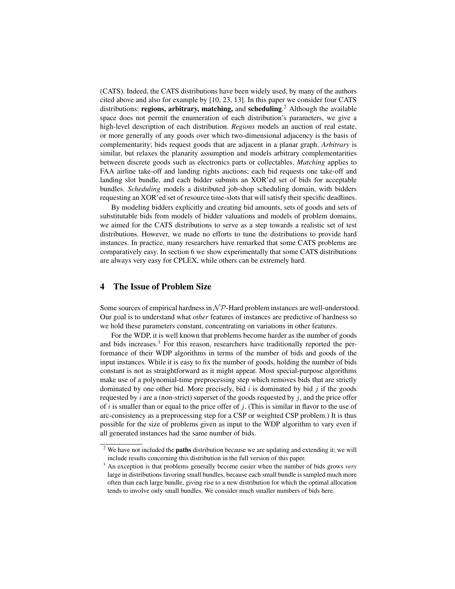(CATS). Indeed, the CATS distributions have been widely used, by many of the authors cited above and also for example by [10, 23, 13]. In this paper we consider four CATS distributions: **regions, arbitrary, matching,** and **scheduling**. <sup>2</sup> Although the available space does not permit the enumeration of each distribution's parameters, we give a high-level description of each distribution. *Regions* models an auction of real estate, or more generally of any goods over which two-dimensional adjacency is the basis of complementarity; bids request goods that are adjacent in a planar graph. *Arbitrary* is similar, but relaxes the planarity assumption and models arbitrary complementarities between discrete goods such as electronics parts or collectables. *Matching* applies to FAA airline take-off and landing rights auctions; each bid requests one take-off and landing slot bundle, and each bidder submits an XOR'ed set of bids for acceptable bundles. *Scheduling* models a distributed job-shop scheduling domain, with bidders requesting an XOR'ed set of resource time-slots that will satisfy their specific deadlines.

By modeling bidders explicitly and creating bid amounts, sets of goods and sets of substitutable bids from models of bidder valuations and models of problem domains, we aimed for the CATS distributions to serve as a step towards a realistic set of test distributions. However, we made no efforts to tune the distributions to provide hard instances. In practice, many researchers have remarked that some CATS problems are comparatively easy. In section 6 we show experimentally that some CATS distributions are always very easy for CPLEX, while others can be extremely hard.

## **4 The Issue of Problem Size**

Some sources of empirical hardness in  $\mathcal{NP}$ -Hard problem instances are well-understood. Our goal is to understand what *other* features of instances are predictive of hardness so we hold these parameters constant, concentrating on variations in other features.

For the WDP, it is well known that problems become harder as the number of goods and bids increases. $3$  For this reason, researchers have traditionally reported the performance of their WDP algorithms in terms of the number of bids and goods of the input instances. While it is easy to fix the number of goods, holding the number of bids constant is not as straightforward as it might appear. Most special-purpose algorithms make use of a polynomial-time preprocessing step which removes bids that are strictly dominated by one other bid. More precisely, bid  $i$  is dominated by bid  $j$  if the goods requested by i are a (non-strict) superset of the goods requested by j, and the price offer of i is smaller than or equal to the price offer of j. (This is similar in flavor to the use of arc-consistency as a preprocessing step for a CSP or weighted CSP problem.) It is thus possible for the size of problems given as input to the WDP algorithm to vary even if all generated instances had the same number of bids.

<sup>2</sup> We have not included the **paths** distribution because we are updating and extending it; we will include results concerning this distribution in the full version of this paper.

<sup>3</sup> An exception is that problems generally become easier when the number of bids grows *very* large in distributions favoring small bundles, because each small bundle is sampled much more often than each large bundle, giving rise to a new distribution for which the optimal allocation tends to involve only small bundles. We consider much smaller numbers of bids here.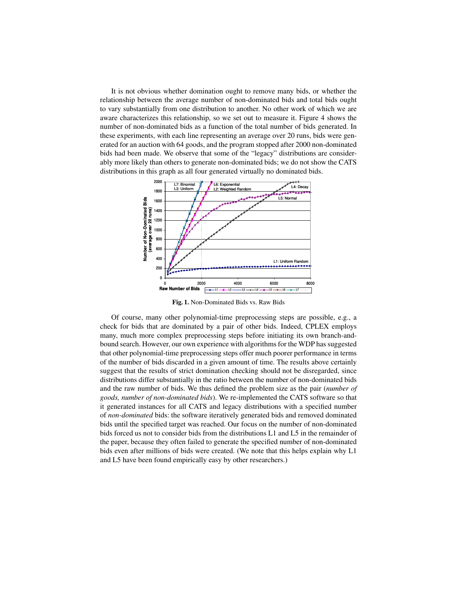It is not obvious whether domination ought to remove many bids, or whether the relationship between the average number of non-dominated bids and total bids ought to vary substantially from one distribution to another. No other work of which we are aware characterizes this relationship, so we set out to measure it. Figure 4 shows the number of non-dominated bids as a function of the total number of bids generated. In these experiments, with each line representing an average over 20 runs, bids were generated for an auction with 64 goods, and the program stopped after 2000 non-dominated bids had been made. We observe that some of the "legacy" distributions are considerably more likely than others to generate non-dominated bids; we do not show the CATS distributions in this graph as all four generated virtually no dominated bids.



**Fig. 1.** Non-Dominated Bids vs. Raw Bids

Of course, many other polynomial-time preprocessing steps are possible, e.g., a check for bids that are dominated by a pair of other bids. Indeed, CPLEX employs many, much more complex preprocessing steps before initiating its own branch-andbound search. However, our own experience with algorithms for the WDP has suggested that other polynomial-time preprocessing steps offer much poorer performance in terms of the number of bids discarded in a given amount of time. The results above certainly suggest that the results of strict domination checking should not be disregarded, since distributions differ substantially in the ratio between the number of non-dominated bids and the raw number of bids. We thus defined the problem size as the pair (*number of goods, number of non-dominated bids*). We re-implemented the CATS software so that it generated instances for all CATS and legacy distributions with a specified number of *non-dominated* bids: the software iteratively generated bids and removed dominated bids until the specified target was reached. Our focus on the number of non-dominated bids forced us not to consider bids from the distributions L1 and L5 in the remainder of the paper, because they often failed to generate the specified number of non-dominated bids even after millions of bids were created. (We note that this helps explain why L1 and L5 have been found empirically easy by other researchers.)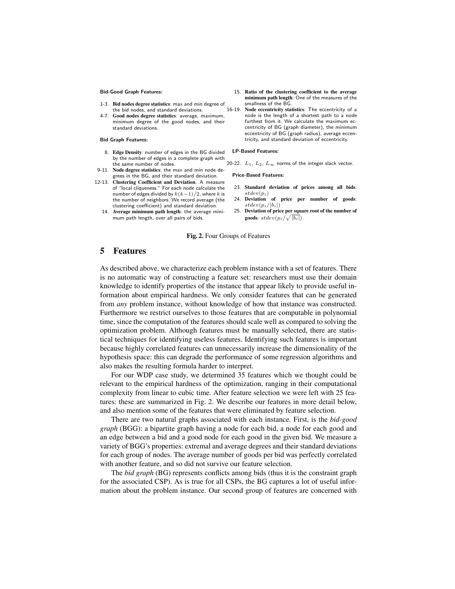#### Bid-Good Graph Features:

- 1-3. **Bid nodes degree statistics**: max and min degree of the bid nodes, and standard deviations.
- 4-7. **Good nodes degree statistics**: average, maximum, minimum degree of the good nodes, and their standard deviations.

#### Bid Graph Features:

- 8. **Edge Density**: number of edges in the BG divided by the number of edges in a complete graph with the same number of nodes.
- 9-11. **Node degree statistics**: the max and min node degrees in the BG, and their standard deviation.
- 12-13. **Clustering Coefficient and Deviation**. A measure of "local cliqueness." For each node calculate the number of edges divided by  $k(k-1)/2$ , where k is the number of neighbors. We record average (the clustering coefficient) and standard deviation.
	- 14. **Average minimum path length**: the average minimum path length, over all pairs of bids.
- 15. **Ratio of the clustering coefficient to the average minimum path length**: One of the measures of the smallness of the BG.
- 16-19. **Node eccentricity statistics**: The eccentricity of a node is the length of a shortest path to a node furthest from it. We calculate the maximum eccentricity of BG (graph diameter), the minimum eccentricity of BG (graph radius), average eccentricity, and standard deviation of eccentricity.

#### LP-Based Features:

20-22.  $L_1$ ,  $L_2$ ,  $L_{\infty}$  norms of the integer slack vector.

#### Price-Based Features:

- 23. **Standard deviation of prices among all bids**:  $stdev(p_i)$
- 24. **Deviation of price per number of goods**:  $stdev(p_i/|b_i|)$
- 25. **Deviation of price per square root of the number of goods**:  $stdev(p_i/\sqrt{|b_i|}).$

### **Fig. 2.** Four Groups of Features

## **5 Features**

As described above, we characterize each problem instance with a set of features. There is no automatic way of constructing a feature set: researchers must use their domain knowledge to identify properties of the instance that appear likely to provide useful information about empirical hardness. We only consider features that can be generated from *any* problem instance, without knowledge of how that instance was constructed. Furthermore we restrict ourselves to those features that are computable in polynomial time, since the computation of the features should scale well as compared to solving the optimization problem. Although features must be manually selected, there are statistical techniques for identifying useless features. Identifying such features is important because highly correlated features can unnecessarily increase the dimensionality of the hypothesis space: this can degrade the performance of some regression algorithms and also makes the resulting formula harder to interpret.

For our WDP case study, we determined 35 features which we thought could be relevant to the empirical hardness of the optimization, ranging in their computational complexity from linear to cubic time. After feature selection we were left with 25 features: these are summarized in Fig. 2. We describe our features in more detail below, and also mention some of the features that were eliminated by feature selection.

There are two natural graphs associated with each instance. First, is the *bid-good graph* (BGG): a bipartite graph having a node for each bid, a node for each good and an edge between a bid and a good node for each good in the given bid. We measure a variety of BGG's properties: extremal and average degrees and their standard deviations for each group of nodes. The average number of goods per bid was perfectly correlated with another feature, and so did not survive our feature selection.

The *bid graph* (BG) represents conflicts among bids (thus it is the constraint graph for the associated CSP). As is true for all CSPs, the BG captures a lot of useful information about the problem instance. Our second group of features are concerned with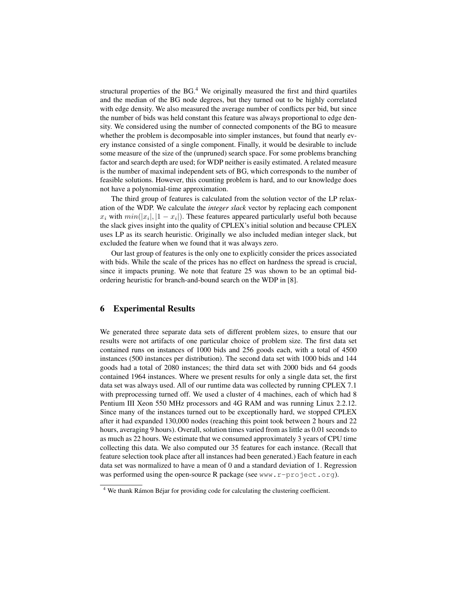structural properties of the  $BG<sup>4</sup>$  We originally measured the first and third quartiles and the median of the BG node degrees, but they turned out to be highly correlated with edge density. We also measured the average number of conflicts per bid, but since the number of bids was held constant this feature was always proportional to edge density. We considered using the number of connected components of the BG to measure whether the problem is decomposable into simpler instances, but found that nearly every instance consisted of a single component. Finally, it would be desirable to include some measure of the size of the (unpruned) search space. For some problems branching factor and search depth are used; for WDP neither is easily estimated. A related measure is the number of maximal independent sets of BG, which corresponds to the number of feasible solutions. However, this counting problem is hard, and to our knowledge does not have a polynomial-time approximation.

The third group of features is calculated from the solution vector of the LP relaxation of the WDP. We calculate the *integer slack* vector by replacing each component  $x_i$  with  $min(|x_i|, |1-x_i|)$ . These features appeared particularly useful both because the slack gives insight into the quality of CPLEX's initial solution and because CPLEX uses LP as its search heuristic. Originally we also included median integer slack, but excluded the feature when we found that it was always zero.

Our last group of features is the only one to explicitly consider the prices associated with bids. While the scale of the prices has no effect on hardness the spread is crucial, since it impacts pruning. We note that feature 25 was shown to be an optimal bidordering heuristic for branch-and-bound search on the WDP in [8].

## **6 Experimental Results**

We generated three separate data sets of different problem sizes, to ensure that our results were not artifacts of one particular choice of problem size. The first data set contained runs on instances of 1000 bids and 256 goods each, with a total of 4500 instances (500 instances per distribution). The second data set with 1000 bids and 144 goods had a total of 2080 instances; the third data set with 2000 bids and 64 goods contained 1964 instances. Where we present results for only a single data set, the first data set was always used. All of our runtime data was collected by running CPLEX 7.1 with preprocessing turned off. We used a cluster of 4 machines, each of which had 8 Pentium III Xeon 550 MHz processors and 4G RAM and was running Linux 2.2.12. Since many of the instances turned out to be exceptionally hard, we stopped CPLEX after it had expanded 130,000 nodes (reaching this point took between 2 hours and 22 hours, averaging 9 hours). Overall, solution times varied from as little as 0.01 seconds to as much as 22 hours. We estimate that we consumed approximately 3 years of CPU time collecting this data. We also computed our 35 features for each instance. (Recall that feature selection took place after all instances had been generated.) Each feature in each data set was normalized to have a mean of 0 and a standard deviation of 1. Regression was performed using the open-source R package (see www.r-project.org).

 $4$  We thank Rámon Béjar for providing code for calculating the clustering coefficient.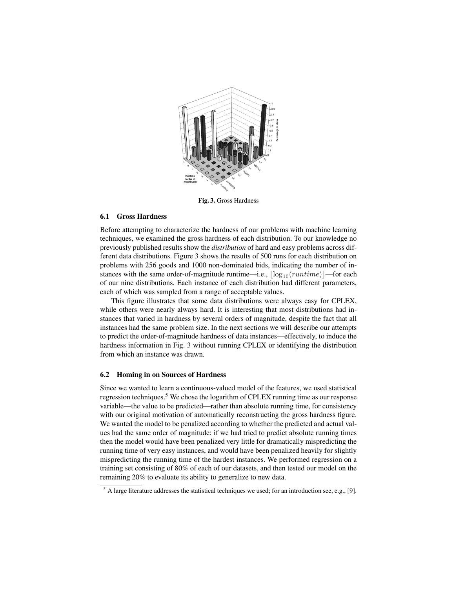

**Fig. 3.** Gross Hardness

## **6.1 Gross Hardness**

Before attempting to characterize the hardness of our problems with machine learning techniques, we examined the gross hardness of each distribution. To our knowledge no previously published results show the *distribution* of hard and easy problems across different data distributions. Figure 3 shows the results of 500 runs for each distribution on problems with 256 goods and 1000 non-dominated bids, indicating the number of instances with the same order-of-magnitude runtime—i.e.,  $|\log_{10}(runtime)|$ —for each of our nine distributions. Each instance of each distribution had different parameters, each of which was sampled from a range of acceptable values.

This figure illustrates that some data distributions were always easy for CPLEX, while others were nearly always hard. It is interesting that most distributions had instances that varied in hardness by several orders of magnitude, despite the fact that all instances had the same problem size. In the next sections we will describe our attempts to predict the order-of-magnitude hardness of data instances—effectively, to induce the hardness information in Fig. 3 without running CPLEX or identifying the distribution from which an instance was drawn.

### **6.2 Homing in on Sources of Hardness**

Since we wanted to learn a continuous-valued model of the features, we used statistical regression techniques.<sup>5</sup> We chose the logarithm of CPLEX running time as our response variable—the value to be predicted—rather than absolute running time, for consistency with our original motivation of automatically reconstructing the gross hardness figure. We wanted the model to be penalized according to whether the predicted and actual values had the same order of magnitude: if we had tried to predict absolute running times then the model would have been penalized very little for dramatically mispredicting the running time of very easy instances, and would have been penalized heavily for slightly mispredicting the running time of the hardest instances. We performed regression on a training set consisting of 80% of each of our datasets, and then tested our model on the remaining 20% to evaluate its ability to generalize to new data.

<sup>5</sup> A large literature addresses the statistical techniques we used; for an introduction see, e.g., [9].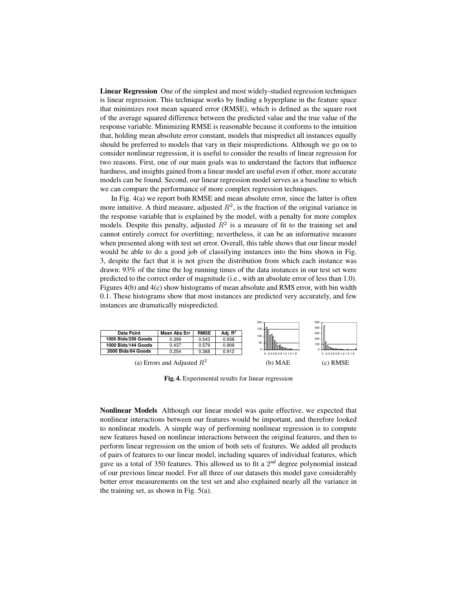**Linear Regression** One of the simplest and most widely-studied regression techniques is linear regression. This technique works by finding a hyperplane in the feature space that minimizes root mean squared error (RMSE), which is defined as the square root of the average squared difference between the predicted value and the true value of the response variable. Minimizing RMSE is reasonable because it conforms to the intuition that, holding mean absolute error constant, models that mispredict all instances equally should be preferred to models that vary in their mispredictions. Although we go on to consider nonlinear regression, it is useful to consider the results of linear regression for two reasons. First, one of our main goals was to understand the factors that influence hardness, and insights gained from a linear model are useful even if other, more accurate models can be found. Second, our linear regression model serves as a baseline to which we can compare the performance of more complex regression techniques.

In Fig. 4(a) we report both RMSE and mean absolute error, since the latter is often more intuitive. A third measure, adjusted  $R^2$ , is the fraction of the original variance in the response variable that is explained by the model, with a penalty for more complex models. Despite this penalty, adjusted  $R^2$  is a measure of fit to the training set and cannot entirely correct for overfitting; nevertheless, it can be an informative measure when presented along with test set error. Overall, this table shows that our linear model would be able to do a good job of classifying instances into the bins shown in Fig. 3, despite the fact that it is not given the distribution from which each instance was drawn: 93% of the time the log running times of the data instances in our test set were predicted to the correct order of magnitude (i.e., with an absolute error of less than 1.0). Figures 4(b) and 4(c) show histograms of mean absolute and RMS error, with bin width 0.1. These histograms show that most instances are predicted very accurately, and few instances are dramatically mispredicted.



**Fig. 4.** Experimental results for linear regression

**Nonlinear Models** Although our linear model was quite effective, we expected that nonlinear interactions between our features would be important, and therefore looked to nonlinear models. A simple way of performing nonlinear regression is to compute new features based on nonlinear interactions between the original features, and then to perform linear regression on the union of both sets of features. We added all products of pairs of features to our linear model, including squares of individual features, which gave us a total of 350 features. This allowed us to fit a 2<sup>nd</sup> degree polynomial instead of our previous linear model. For all three of our datasets this model gave considerably better error measurements on the test set and also explained nearly all the variance in the training set, as shown in Fig. 5(a).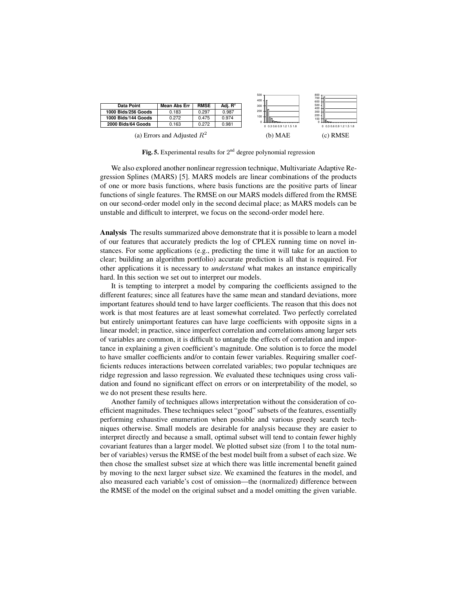

Fig. 5. Experimental results for  $2<sup>nd</sup>$  degree polynomial regression

We also explored another nonlinear regression technique, Multivariate Adaptive Regression Splines (MARS) [5]. MARS models are linear combinations of the products of one or more basis functions, where basis functions are the positive parts of linear functions of single features. The RMSE on our MARS models differed from the RMSE on our second-order model only in the second decimal place; as MARS models can be unstable and difficult to interpret, we focus on the second-order model here.

**Analysis** The results summarized above demonstrate that it is possible to learn a model of our features that accurately predicts the log of CPLEX running time on novel instances. For some applications (e.g., predicting the time it will take for an auction to clear; building an algorithm portfolio) accurate prediction is all that is required. For other applications it is necessary to *understand* what makes an instance empirically hard. In this section we set out to interpret our models.

It is tempting to interpret a model by comparing the coefficients assigned to the different features; since all features have the same mean and standard deviations, more important features should tend to have larger coefficients. The reason that this does not work is that most features are at least somewhat correlated. Two perfectly correlated but entirely unimportant features can have large coefficients with opposite signs in a linear model; in practice, since imperfect correlation and correlations among larger sets of variables are common, it is difficult to untangle the effects of correlation and importance in explaining a given coefficient's magnitude. One solution is to force the model to have smaller coefficients and/or to contain fewer variables. Requiring smaller coefficients reduces interactions between correlated variables; two popular techniques are ridge regression and lasso regression. We evaluated these techniques using cross validation and found no significant effect on errors or on interpretability of the model, so we do not present these results here.

Another family of techniques allows interpretation without the consideration of coefficient magnitudes. These techniques select "good" subsets of the features, essentially performing exhaustive enumeration when possible and various greedy search techniques otherwise. Small models are desirable for analysis because they are easier to interpret directly and because a small, optimal subset will tend to contain fewer highly covariant features than a larger model. We plotted subset size (from 1 to the total number of variables) versus the RMSE of the best model built from a subset of each size. We then chose the smallest subset size at which there was little incremental benefit gained by moving to the next larger subset size. We examined the features in the model, and also measured each variable's cost of omission—the (normalized) difference between the RMSE of the model on the original subset and a model omitting the given variable.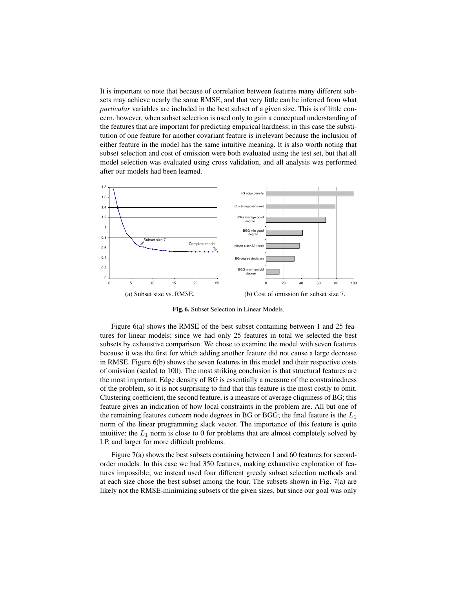It is important to note that because of correlation between features many different subsets may achieve nearly the same RMSE, and that very little can be inferred from what *particular* variables are included in the best subset of a given size. This is of little concern, however, when subset selection is used only to gain a conceptual understanding of the features that are important for predicting empirical hardness; in this case the substitution of one feature for another covariant feature is irrelevant because the inclusion of either feature in the model has the same intuitive meaning. It is also worth noting that subset selection and cost of omission were both evaluated using the test set, but that all model selection was evaluated using cross validation, and all analysis was performed after our models had been learned.



**Fig. 6.** Subset Selection in Linear Models.

Figure 6(a) shows the RMSE of the best subset containing between 1 and 25 features for linear models; since we had only 25 features in total we selected the best subsets by exhaustive comparison. We chose to examine the model with seven features because it was the first for which adding another feature did not cause a large decrease in RMSE. Figure 6(b) shows the seven features in this model and their respective costs of omission (scaled to 100). The most striking conclusion is that structural features are the most important. Edge density of BG is essentially a measure of the constrainedness of the problem, so it is not surprising to find that this feature is the most costly to omit. Clustering coefficient, the second feature, is a measure of average cliquiness of BG; this feature gives an indication of how local constraints in the problem are. All but one of the remaining features concern node degrees in BG or BGG; the final feature is the  $L_1$ norm of the linear programming slack vector. The importance of this feature is quite intuitive: the  $L_1$  norm is close to 0 for problems that are almost completely solved by LP, and larger for more difficult problems.

Figure 7(a) shows the best subsets containing between 1 and 60 features for secondorder models. In this case we had 350 features, making exhaustive exploration of features impossible; we instead used four different greedy subset selection methods and at each size chose the best subset among the four. The subsets shown in Fig. 7(a) are likely not the RMSE-minimizing subsets of the given sizes, but since our goal was only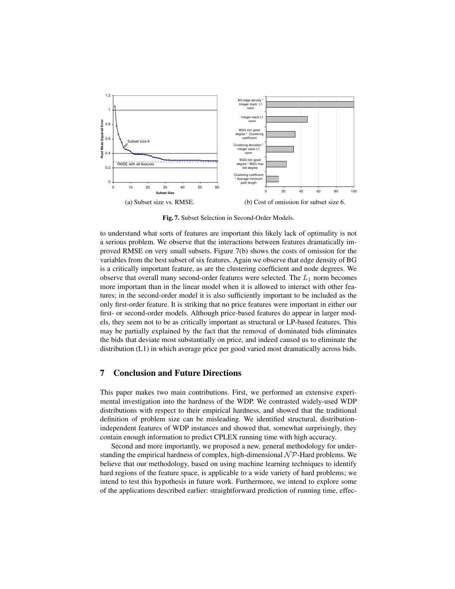

**Fig. 7.** Subset Selection in Second-Order Models.

to understand what sorts of features are important this likely lack of optimality is not a serious problem. We observe that the interactions between features dramatically improved RMSE on very small subsets. Figure 7(b) shows the costs of omission for the variables from the best subset of six features. Again we observe that edge density of BG is a critically important feature, as are the clustering coefficient and node degrees. We observe that overall many second-order features were selected. The  $L_1$  norm becomes more important than in the linear model when it is allowed to interact with other features; in the second-order model it is also sufficiently important to be included as the only first-order feature. It is striking that no price features were important in either our first- or second-order models. Although price-based features do appear in larger models, they seem not to be as critically important as structural or LP-based features. This may be partially explained by the fact that the removal of dominated bids eliminates the bids that deviate most substantially on price, and indeed caused us to eliminate the distribution (L1) in which average price per good varied most dramatically across bids.

## **7 Conclusion and Future Directions**

This paper makes two main contributions. First, we performed an extensive experimental investigation into the hardness of the WDP. We contrasted widely-used WDP distributions with respect to their empirical hardness, and showed that the traditional definition of problem size can be misleading. We identified structural, distributionindependent features of WDP instances and showed that, somewhat surprisingly, they contain enough information to predict CPLEX running time with high accuracy.

Second and more importantly, we proposed a new, general methodology for understanding the empirical hardness of complex, high-dimensional  $N\mathcal{P}$ -Hard problems. We believe that our methodology, based on using machine learning techniques to identify hard regions of the feature space, is applicable to a wide variety of hard problems; we intend to test this hypothesis in future work. Furthermore, we intend to explore some of the applications described earlier: straightforward prediction of running time, effec